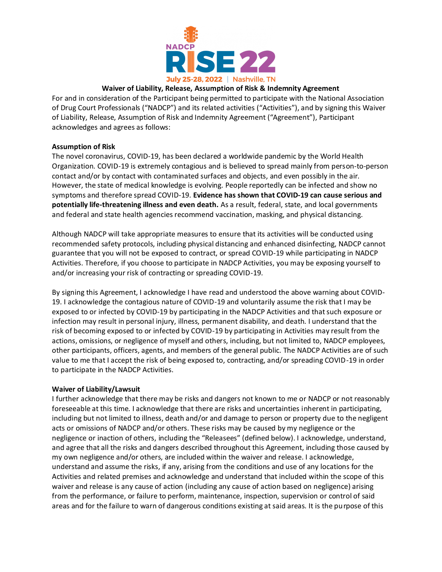

## **Waiver of Liability, Release, Assumption of Risk & Indemnity Agreement**

For and in consideration of the Participant being permitted to participate with the National Association of Drug Court Professionals ("NADCP") and its related activities ("Activities"), and by signing this Waiver of Liability, Release, Assumption of Risk and Indemnity Agreement ("Agreement"), Participant acknowledges and agrees as follows:

## **Assumption of Risk**

The novel coronavirus, COVID-19, has been declared a worldwide pandemic by the World Health Organization. COVID-19 is extremely contagious and is believed to spread mainly from person-to-person contact and/or by contact with contaminated surfaces and objects, and even possibly in the air. However, the state of medical knowledge is evolving. People reportedly can be infected and show no symptoms and therefore spread COVID-19. **Evidence has shown that COVID-19 can cause serious and potentially life-threatening illness and even death.** As a result, federal, state, and local governments and federal and state health agencies recommend vaccination, masking, and physical distancing.

Although NADCP will take appropriate measures to ensure that its activities will be conducted using recommended safety protocols, including physical distancing and enhanced disinfecting, NADCP cannot guarantee that you will not be exposed to contract, or spread COVID-19 while participating in NADCP Activities. Therefore, if you choose to participate in NADCP Activities, you may be exposing yourself to and/or increasing your risk of contracting or spreading COVID-19.

By signing this Agreement, I acknowledge I have read and understood the above warning about COVID-19. I acknowledge the contagious nature of COVID-19 and voluntarily assume the risk that I may be exposed to or infected by COVID-19 by participating in the NADCP Activities and that such exposure or infection may result in personal injury, illness, permanent disability, and death. I understand that the risk of becoming exposed to or infected by COVID-19 by participating in Activities may result from the actions, omissions, or negligence of myself and others, including, but not limited to, NADCP employees, other participants, officers, agents, and members of the general public. The NADCP Activities are of such value to me that I accept the risk of being exposed to, contracting, and/or spreading COVID-19 in order to participate in the NADCP Activities.

## **Waiver of Liability/Lawsuit**

I further acknowledge that there may be risks and dangers not known to me or NADCP or not reasonably foreseeable at this time. I acknowledge that there are risks and uncertainties inherent in participating, including but not limited to illness, death and/or and damage to person or property due to the negligent acts or omissions of NADCP and/or others. These risks may be caused by my negligence or the negligence or inaction of others, including the "Releasees" (defined below). I acknowledge, understand, and agree that all the risks and dangers described throughout this Agreement, including those caused by my own negligence and/or others, are included within the waiver and release. I acknowledge, understand and assume the risks, if any, arising from the conditions and use of any locations for the Activities and related premises and acknowledge and understand that included within the scope of this waiver and release is any cause of action (including any cause of action based on negligence) arising from the performance, or failure to perform, maintenance, inspection, supervision or control of said areas and for the failure to warn of dangerous conditions existing at said areas. It is the purpose of this